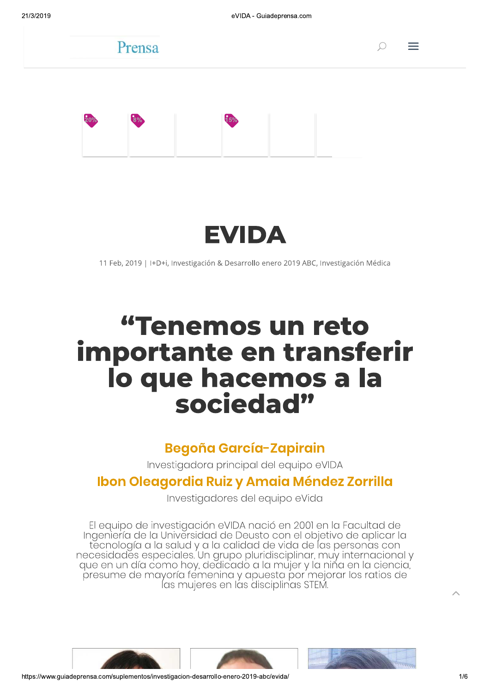° ±







11 Feb, 2019 | I+D+i, Investigación & Desarrollo enero 2019 ABC, Investigación Médica

# "Tenemos un reto importante en transferir lo que hacemos a la sociedad"

# Begoña García-Zapirain

Investigadora principal del equipo eVIDA

# Ibon Oleagordia Ruiz y Amaia Méndez Zorrilla

Investigadores del equipo eVida

El equipo de investigación eVIDA nació en 2001 en la Facultad de<br>Ingeniería de la Universidad de Deusto con el objetivo de aplicar la<br>necesidades especiales. Un grupo pluridisciplinar, muy internacional y que en un día como hoy, dedicado a la mujer y la niña en la ciencia, presume de mayoría fémenina y apuesta por´mejorar los ratios de<br>las mujeres en las disciplinas STEM.





 $\hat{\phantom{a}}$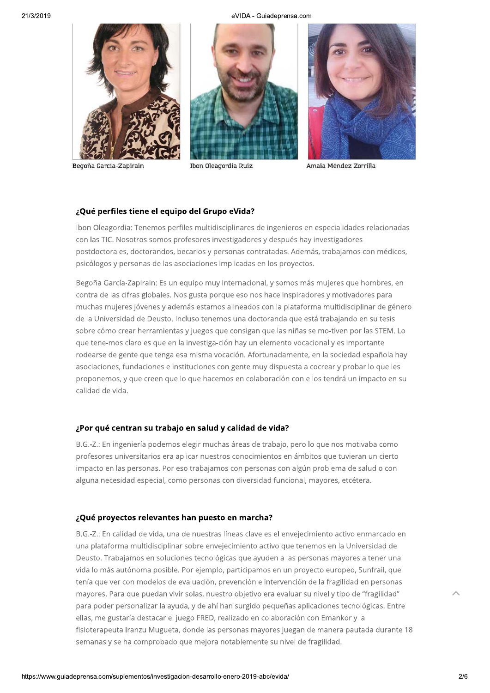eVIDA - Guiadeprensa.com



Begoña García-Zapirain





Amaia Méndez Zorrilla

# ¿Qué perfiles tiene el equipo del Grupo eVida?

Ibon Oleagordia: Tenemos perfiles multidisciplinares de ingenieros en especialidades relacionadas con las TIC. Nosotros somos profesores investigadores y después hay investigadores postdoctorales, doctorandos, becarios y personas contratadas. Además, trabajamos con médicos, psicólogos y personas de las asociaciones implicadas en los proyectos.

Begoña García-Zapirain: Es un equipo muy internacional, y somos más mujeres que hombres, en contra de las cifras globales. Nos gusta porque eso nos hace inspiradores y motivadores para muchas mujeres jóvenes y además estamos alineados con la plataforma multidisciplinar de género de la Universidad de Deusto. Incluso tenemos una doctoranda que está trabajando en su tesis sobre cómo crear herramientas y juegos que consigan que las niñas se mo-tiven por las STEM. Lo que tene-mos claro es que en la investiga-ción hay un elemento vocacional y es importante rodearse de gente que tenga esa misma vocación. Afortunadamente, en la sociedad española hay asociaciones, fundaciones e instituciones con gente muy dispuesta a cocrear y probar lo que les proponemos, y que creen que lo que hacemos en colaboración con ellos tendrá un impacto en su calidad de vida.

## ¿Por qué centran su trabajo en salud y calidad de vida?

B.G.-Z.: En ingeniería podemos elegir muchas áreas de trabajo, pero lo que nos motivaba como profesores universitarios era aplicar nuestros conocimientos en ámbitos que tuvieran un cierto impacto en las personas. Por eso trabajamos con personas con algún problema de salud o con alguna necesidad especial, como personas con diversidad funcional, mayores, etcétera.

# ¿Qué proyectos relevantes han puesto en marcha?

B.G.-Z.: En calidad de vida, una de nuestras líneas clave es el envejecimiento activo enmarcado en una plataforma multidisciplinar sobre envejecimiento activo que tenemos en la Universidad de Deusto. Trabajamos en soluciones tecnológicas que ayuden a las personas mayores a tener una vida lo más autónoma posible. Por ejemplo, participamos en un proyecto europeo, Sunfrail, que tenía que ver con modelos de evaluación, prevención e intervención de la fragilidad en personas mayores. Para que puedan vivir solas, nuestro objetivo era evaluar su nivel y tipo de "fragilidad" para poder personalizar la ayuda, y de ahí han surgido pequeñas aplicaciones tecnológicas. Entre ellas, me gustaría destacar el juego FRED, realizado en colaboración con Emankor y la fisioterapeuta Iranzu Mugueta, donde las personas mayores juegan de manera pautada durante 18 semanas y se ha comprobado que mejora notablemente su nivel de fragilidad.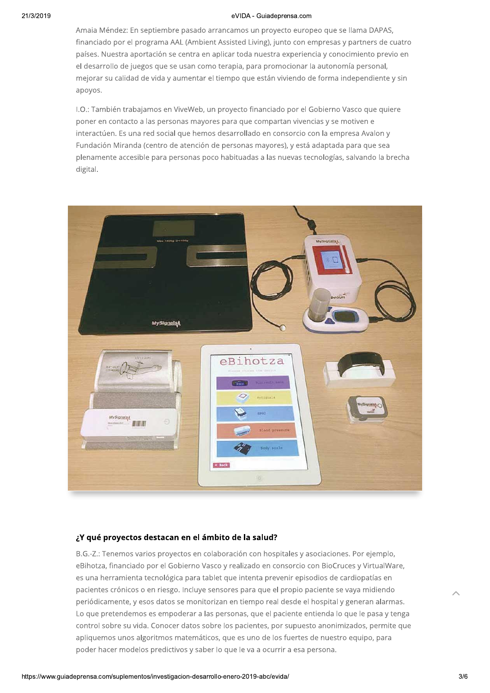#### eVIDA - Guiadeprensa.com

Amaia Méndez: En septiembre pasado arrancamos un proyecto europeo que se llama DAPAS, financiado por el programa AAL (Ambient Assisted Living), junto con empresas y partners de cuatro países. Nuestra aportación se centra en aplicar toda nuestra experiencia y conocimiento previo en el desarrollo de juegos que se usan como terapia, para promocionar la autonomía personal, mejorar su calidad de vida y aumentar el tiempo que están viviendo de forma independiente y sin apoyos.

I.O.: También trabajamos en ViveWeb, un proyecto financiado por el Gobierno Vasco que quiere poner en contacto a las personas mayores para que compartan vivencias y se motiven e interactúen. Es una red social que hemos desarrollado en consorcio con la empresa Avalon y Fundación Miranda (centro de atención de personas mayores), y está adaptada para que sea plenamente accesible para personas poco habituadas a las nuevas tecnologías, salvando la brecha digital.



#### ¿Y qué proyectos destacan en el ámbito de la salud?

B.G.-Z.: Tenemos varios proyectos en colaboración con hospitales y asociaciones. Por ejemplo, eBihotza, financiado por el Gobierno Vasco y realizado en consorcio con BioCruces y VirtualWare, es una herramienta tecnológica para tablet que intenta prevenir episodios de cardiopatías en pacientes crónicos o en riesgo. Incluye sensores para que el propio paciente se vaya midiendo periódicamente, y esos datos se monitorizan en tiempo real desde el hospital y generan alarmas. Lo que pretendemos es empoderar a las personas, que el paciente entienda lo que le pasa y tenga control sobre su vida. Conocer datos sobre los pacientes, por supuesto anonimizados, permite que apliquemos unos algoritmos matemáticos, que es uno de los fuertes de nuestro equipo, para poder hacer modelos predictivos y saber lo que le va a ocurrir a esa persona.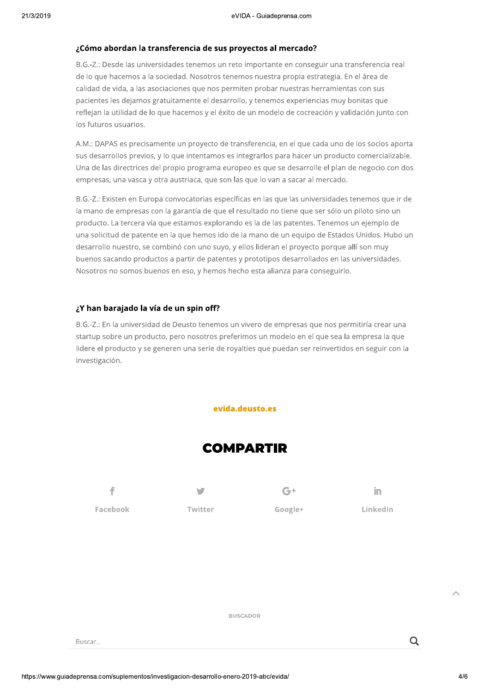## ¿Cómo abordan la transferencia de sus proyectos al mercado?

B.G.-Z.: Desde las universidades tenemos un reto importante en conseguir una transferencia real de lo que hacemos a la sociedad. Nosotros tenemos nuestra propia estrategia. En el área de calidad de vida, a las asociaciones que nos permiten probar nuestras herramientas con sus pacientes les dejamos gratuitamente el desarrollo, y tenemos experiencias muy bonitas que reflejan la utilidad de lo que hacemos y el éxito de un modelo de cocreación y validación junto con los futuros usuarios.

A.M.: DAPAS es precisamente un proyecto de transferencia, en el que cada uno de los socios aporta sus desarrollos previos, y lo que intentamos es integrarlos para hacer un producto comercializable. Una de las directrices del propio programa europeo es que se desarrolle el plan de negocio con dos empresas, una vasca y otra austriaca, que son las que lo van a sacar al mercado.

B.G.-Z.: Existen en Europa convocatorias específicas en las que las universidades tenemos que ir de la mano de empresas con la garantía de que el resultado no tiene que ser sólo un piloto sino un producto. La tercera vía que estamos explorando es la de las patentes. Tenemos un ejemplo de una solicitud de patente en la que hemos ido de la mano de un equipo de Estados Unidos. Hubo un desarrollo nuestro, se combinó con uno suyo, y ellos lideran el proyecto porque allí son muy buenos sacando productos a partir de patentes y prototipos desarrollados en las universidades. Nosotros no somos buenos en eso, y hemos hecho esta alianza para conseguirlo.

### ¿Y han barajado la vía de un spin off?

B.G.-Z.: En la universidad de Deusto tenemos un vivero de empresas que nos permitiría crear una startup sobre un producto, pero nosotros preferimos un modelo en el que sea la empresa la que lidere el producto y se generen una serie de royalties que puedan ser reinvertidos en seguir con la investigación.

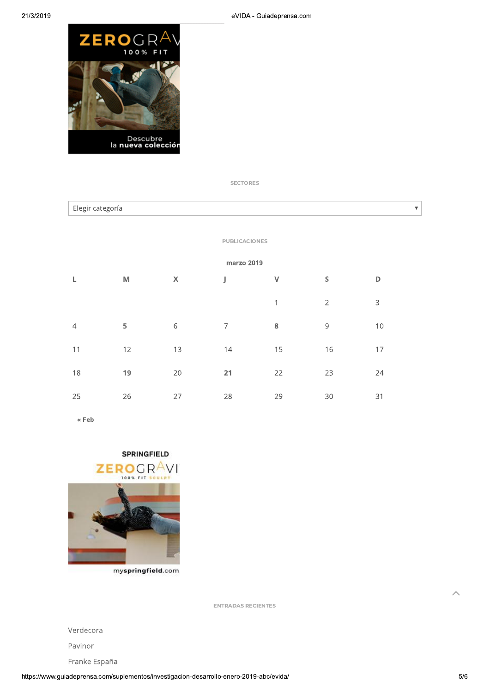

**SECTORES** 

| Elegir categoría     |   |   |  |   |  |  |
|----------------------|---|---|--|---|--|--|
|                      |   |   |  |   |  |  |
| <b>PUBLICACIONES</b> |   |   |  |   |  |  |
| marzo 2019           |   |   |  |   |  |  |
|                      | M | X |  | ٧ |  |  |
|                      |   |   |  |   |  |  |

 $\overline{7}$ 

 $14$ 

 $21$ 

28

 $\mathbf{1}$ 

 $\bf 8$ 

15

22

29

 $\overline{2}$ 

9

16

23

30

 $\mathbf{3}$ 

 $10$ 

17

24

31

« Feb

 $\overline{4}$ 

 $11$ 

18

25

# **SPRINGFIELD** ZEROGR<sup>A</sup>V 100% FIT SCULP

5

 $12$ 

19

26

 $6\,$ 

13

20

27



myspringfield.com

**ENTRADAS RECIENTES** 

Verdecora

Pavinor

Franke España